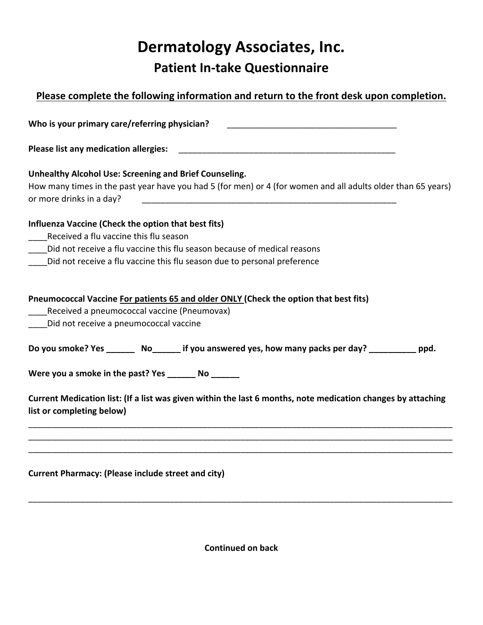## **Dermatology Associates, Inc. Patient In-take Questionnaire**

| Please complete the following information and return to the front desk upon completion.                                                                                        |
|--------------------------------------------------------------------------------------------------------------------------------------------------------------------------------|
| Who is your primary care/referring physician?                                                                                                                                  |
| <b>Please list any medication allergies:</b><br><u> 1989 - Johann John Stoff, deutscher Stoffen und der Stoffen und der Stoffen und der Stoffen und der Stoffen</u>            |
| Unhealthy Alcohol Use: Screening and Brief Counseling.                                                                                                                         |
| How many times in the past year have you had 5 (for men) or 4 (for women and all adults older than 65 years)<br>or more drinks in a day?                                       |
| Influenza Vaccine (Check the option that best fits)<br>Received a flu vaccine this flu season                                                                                  |
| Did not receive a flu vaccine this flu season because of medical reasons                                                                                                       |
| Did not receive a flu vaccine this flu season due to personal preference                                                                                                       |
| Pneumococcal Vaccine For patients 65 and older ONLY (Check the option that best fits)<br>Received a pneumococcal vaccine (Pneumovax)<br>Did not receive a pneumococcal vaccine |
| Do you smoke? Yes ________ No_______ if you answered yes, how many packs per day? ___________ ppd.                                                                             |
| Were you a smoke in the past? Yes _________ No ________                                                                                                                        |
| Current Medication list: (If a list was given within the last 6 months, note medication changes by attaching<br>list or completing below)                                      |
|                                                                                                                                                                                |
| <b>Current Pharmacy: (Please include street and city)</b>                                                                                                                      |

**Continued on back**

\_\_\_\_\_\_\_\_\_\_\_\_\_\_\_\_\_\_\_\_\_\_\_\_\_\_\_\_\_\_\_\_\_\_\_\_\_\_\_\_\_\_\_\_\_\_\_\_\_\_\_\_\_\_\_\_\_\_\_\_\_\_\_\_\_\_\_\_\_\_\_\_\_\_\_\_\_\_\_\_\_\_\_\_\_\_\_\_\_\_